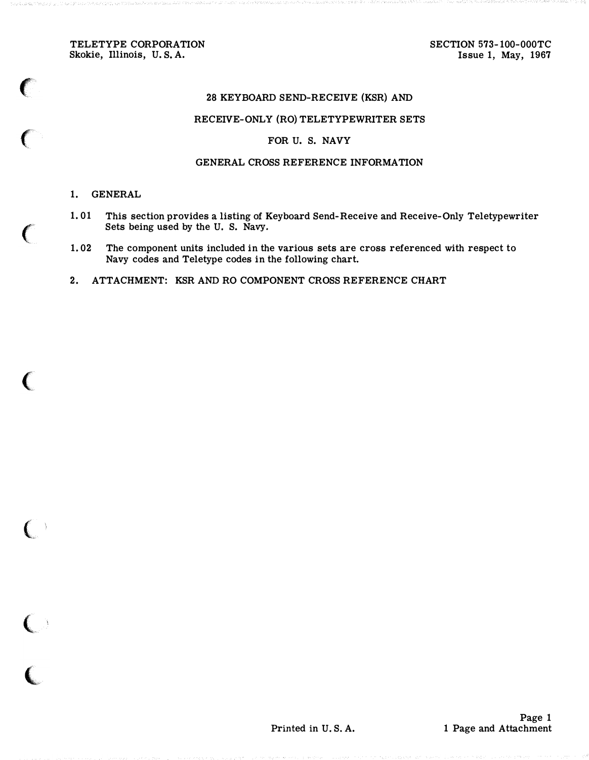TELETYPE CORPORATION Skokie, Illinois, U.S.A.

### 28 KEYBOARD SEND-RECEIVE (KSR) AND

#### RECEIVE-ONLY (RO) TELETYPEWRITER SETS

## FOR U. S. NAVY

### GENERAL CROSS REFERENCE INFORMATION

# 1. GENERAL

 $\big($ 

**Bally Fac** 

 $\big($ 

(

 $\big($ 

 $\big($ 

 $\overline{\mathbf{C}}$ 

- 1. 01 This section provides a listing of Keyboard Send-Receive and Receive-Only Teletypewriter Sets being used by the U. S. Navy.
- 1. 02 The component units included in the various sets are cross referenced with respect to Navy codes and Teletype codes in the following chart.
- 2. ATTACHMENT: KSR AND RO COMPONENT CROSS REFERENCE CHART